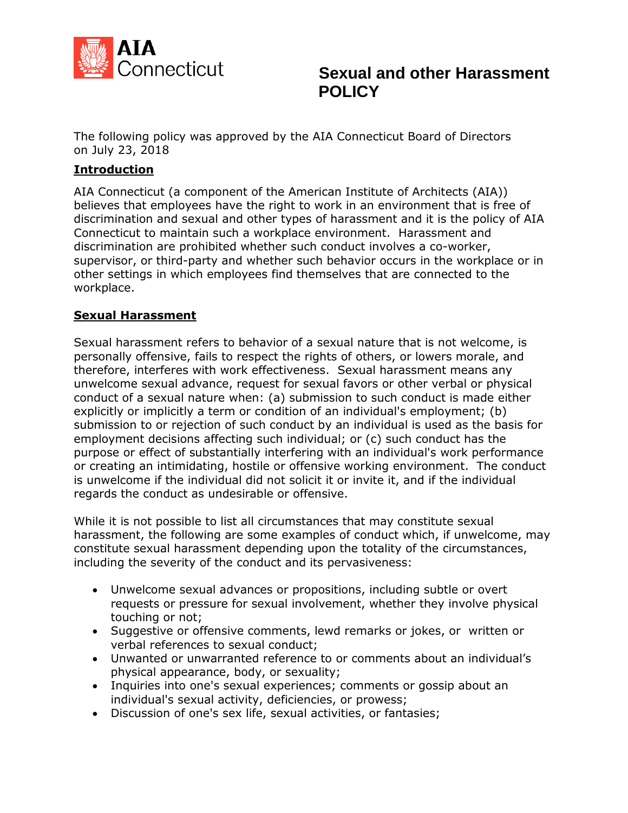

The following policy was approved by the AIA Connecticut Board of Directors on July 23, 2018

### **Introduction**

AIA Connecticut (a component of the American Institute of Architects (AIA)) believes that employees have the right to work in an environment that is free of discrimination and sexual and other types of harassment and it is the policy of AIA Connecticut to maintain such a workplace environment. Harassment and discrimination are prohibited whether such conduct involves a co-worker, supervisor, or third-party and whether such behavior occurs in the workplace or in other settings in which employees find themselves that are connected to the workplace.

#### **Sexual Harassment**

Sexual harassment refers to behavior of a sexual nature that is not welcome, is personally offensive, fails to respect the rights of others, or lowers morale, and therefore, interferes with work effectiveness. Sexual harassment means any unwelcome sexual advance, request for sexual favors or other verbal or physical conduct of a sexual nature when: (a) submission to such conduct is made either explicitly or implicitly a term or condition of an individual's employment; (b) submission to or rejection of such conduct by an individual is used as the basis for employment decisions affecting such individual; or (c) such conduct has the purpose or effect of substantially interfering with an individual's work performance or creating an intimidating, hostile or offensive working environment. The conduct is unwelcome if the individual did not solicit it or invite it, and if the individual regards the conduct as undesirable or offensive.

While it is not possible to list all circumstances that may constitute sexual harassment, the following are some examples of conduct which, if unwelcome, may constitute sexual harassment depending upon the totality of the circumstances, including the severity of the conduct and its pervasiveness:

- Unwelcome sexual advances or propositions, including subtle or overt requests or pressure for sexual involvement, whether they involve physical touching or not;
- Suggestive or offensive comments, lewd remarks or jokes, or written or verbal references to sexual conduct;
- Unwanted or unwarranted reference to or comments about an individual's physical appearance, body, or sexuality;
- Inquiries into one's sexual experiences; comments or gossip about an individual's sexual activity, deficiencies, or prowess;
- Discussion of one's sex life, sexual activities, or fantasies;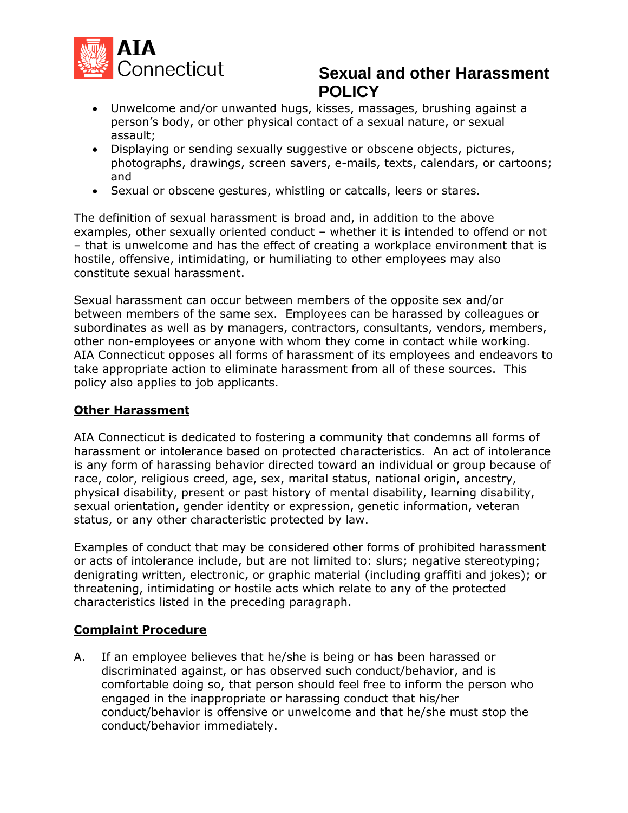

- Unwelcome and/or unwanted hugs, kisses, massages, brushing against a person's body, or other physical contact of a sexual nature, or sexual assault;
- Displaying or sending sexually suggestive or obscene objects, pictures, photographs, drawings, screen savers, e-mails, texts, calendars, or cartoons; and
- Sexual or obscene gestures, whistling or catcalls, leers or stares.

The definition of sexual harassment is broad and, in addition to the above examples, other sexually oriented conduct – whether it is intended to offend or not – that is unwelcome and has the effect of creating a workplace environment that is hostile, offensive, intimidating, or humiliating to other employees may also constitute sexual harassment.

Sexual harassment can occur between members of the opposite sex and/or between members of the same sex. Employees can be harassed by colleagues or subordinates as well as by managers, contractors, consultants, vendors, members, other non-employees or anyone with whom they come in contact while working. AIA Connecticut opposes all forms of harassment of its employees and endeavors to take appropriate action to eliminate harassment from all of these sources. This policy also applies to job applicants.

#### **Other Harassment**

AIA Connecticut is dedicated to fostering a community that condemns all forms of harassment or intolerance based on protected characteristics. An act of intolerance is any form of harassing behavior directed toward an individual or group because of race, color, religious creed, age, sex, marital status, national origin, ancestry, physical disability, present or past history of mental disability, learning disability, sexual orientation, gender identity or expression, genetic information, veteran status, or any other characteristic protected by law.

Examples of conduct that may be considered other forms of prohibited harassment or acts of intolerance include, but are not limited to: slurs; negative stereotyping; denigrating written, electronic, or graphic material (including graffiti and jokes); or threatening, intimidating or hostile acts which relate to any of the protected characteristics listed in the preceding paragraph.

#### **Complaint Procedure**

A. If an employee believes that he/she is being or has been harassed or discriminated against, or has observed such conduct/behavior, and is comfortable doing so, that person should feel free to inform the person who engaged in the inappropriate or harassing conduct that his/her conduct/behavior is offensive or unwelcome and that he/she must stop the conduct/behavior immediately.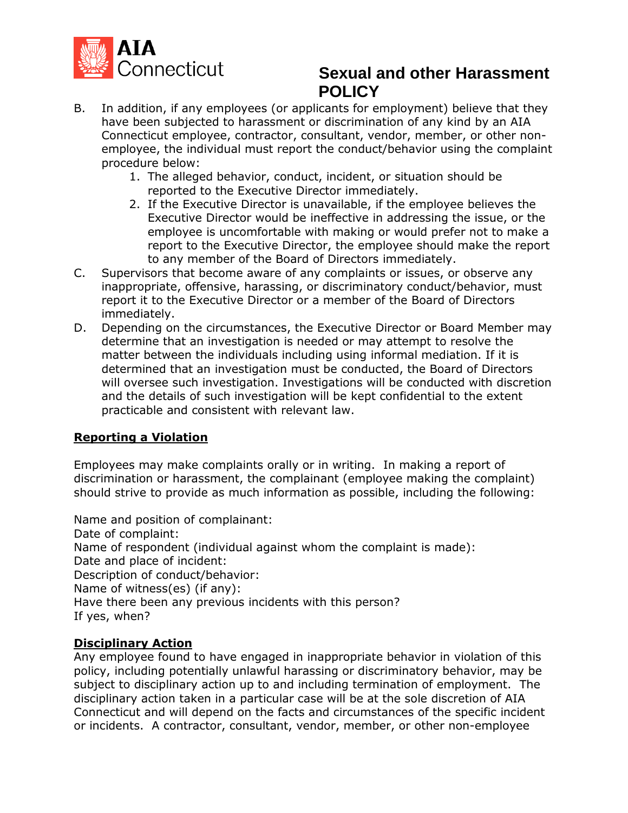

- B. In addition, if any employees (or applicants for employment) believe that they have been subjected to harassment or discrimination of any kind by an AIA Connecticut employee, contractor, consultant, vendor, member, or other nonemployee, the individual must report the conduct/behavior using the complaint procedure below:
	- 1. The alleged behavior, conduct, incident, or situation should be reported to the Executive Director immediately.
	- 2. If the Executive Director is unavailable, if the employee believes the Executive Director would be ineffective in addressing the issue, or the employee is uncomfortable with making or would prefer not to make a report to the Executive Director, the employee should make the report to any member of the Board of Directors immediately.
- C. Supervisors that become aware of any complaints or issues, or observe any inappropriate, offensive, harassing, or discriminatory conduct/behavior, must report it to the Executive Director or a member of the Board of Directors immediately.
- D. Depending on the circumstances, the Executive Director or Board Member may determine that an investigation is needed or may attempt to resolve the matter between the individuals including using informal mediation. If it is determined that an investigation must be conducted, the Board of Directors will oversee such investigation. Investigations will be conducted with discretion and the details of such investigation will be kept confidential to the extent practicable and consistent with relevant law.

# **Reporting a Violation**

Employees may make complaints orally or in writing. In making a report of discrimination or harassment, the complainant (employee making the complaint) should strive to provide as much information as possible, including the following:

Name and position of complainant: Date of complaint: Name of respondent (individual against whom the complaint is made): Date and place of incident: Description of conduct/behavior: Name of witness(es) (if any): Have there been any previous incidents with this person? If yes, when?

# **Disciplinary Action**

Any employee found to have engaged in inappropriate behavior in violation of this policy, including potentially unlawful harassing or discriminatory behavior, may be subject to disciplinary action up to and including termination of employment. The disciplinary action taken in a particular case will be at the sole discretion of AIA Connecticut and will depend on the facts and circumstances of the specific incident or incidents. A contractor, consultant, vendor, member, or other non-employee